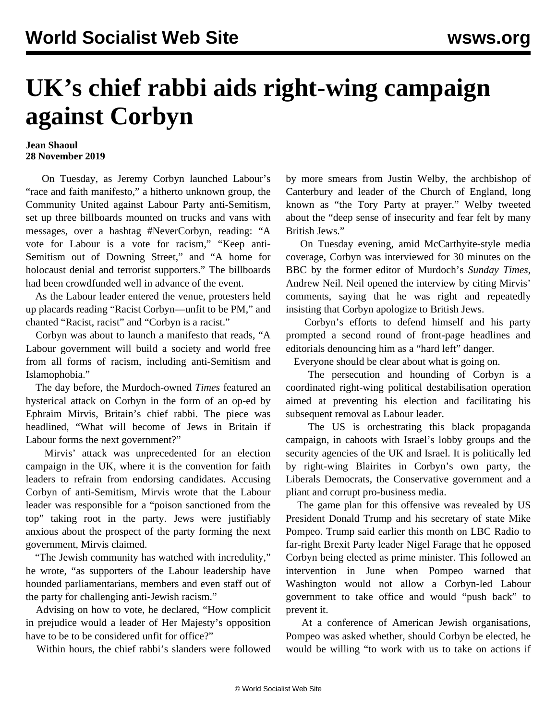## **UK's chief rabbi aids right-wing campaign against Corbyn**

## **Jean Shaoul 28 November 2019**

 On Tuesday, as Jeremy Corbyn launched Labour's "race and faith manifesto," a hitherto unknown group, the Community United against Labour Party anti-Semitism, set up three billboards mounted on trucks and vans with messages, over a hashtag #NeverCorbyn, reading: "A vote for Labour is a vote for racism," "Keep anti-Semitism out of Downing Street," and "A home for holocaust denial and terrorist supporters." The billboards had been crowdfunded well in advance of the event.

 As the Labour leader entered the venue, protesters held up placards reading "Racist Corbyn—unfit to be PM," and chanted "Racist, racist" and "Corbyn is a racist."

 Corbyn was about to launch a manifesto that reads, "A Labour government will build a society and world free from all forms of racism, including anti-Semitism and Islamophobia."

 The day before, the Murdoch-owned *Times* featured an hysterical attack on Corbyn in the form of an op-ed by Ephraim Mirvis, Britain's chief rabbi. The piece was headlined, "What will become of Jews in Britain if Labour forms the next government?"

 Mirvis' attack was unprecedented for an election campaign in the UK, where it is the convention for faith leaders to refrain from endorsing candidates. Accusing Corbyn of anti-Semitism, Mirvis wrote that the Labour leader was responsible for a "poison sanctioned from the top" taking root in the party. Jews were justifiably anxious about the prospect of the party forming the next government, Mirvis claimed.

 "The Jewish community has watched with incredulity," he wrote, "as supporters of the Labour leadership have hounded parliamentarians, members and even staff out of the party for challenging anti-Jewish racism."

 Advising on how to vote, he declared, "How complicit in prejudice would a leader of Her Majesty's opposition have to be to be considered unfit for office?"

Within hours, the chief rabbi's slanders were followed

by more smears from Justin Welby, the archbishop of Canterbury and leader of the Church of England, long known as "the Tory Party at prayer." Welby tweeted about the "deep sense of insecurity and fear felt by many British Jews."

 On Tuesday evening, amid McCarthyite-style media coverage, Corbyn was interviewed for 30 minutes on the BBC by the former editor of Murdoch's *Sunday Times*, Andrew Neil. Neil opened the interview by citing Mirvis' comments, saying that he was right and repeatedly insisting that Corbyn apologize to British Jews.

 Corbyn's efforts to defend himself and his party prompted a second round of front-page headlines and editorials denouncing him as a "hard left" danger.

Everyone should be clear about what is going on.

 The persecution and hounding of Corbyn is a coordinated right-wing political destabilisation operation aimed at preventing his election and facilitating his subsequent removal as Labour leader.

 The US is orchestrating this black propaganda campaign, in cahoots with Israel's lobby groups and the security agencies of the UK and Israel. It is politically led by right-wing Blairites in Corbyn's own party, the Liberals Democrats, the Conservative government and a pliant and corrupt pro-business media.

 The game plan for this offensive was revealed by US President Donald Trump and his secretary of state Mike Pompeo. Trump said earlier this month on LBC Radio to far-right Brexit Party leader Nigel Farage that he opposed Corbyn being elected as prime minister. This followed an intervention in June when Pompeo warned that Washington would not allow a Corbyn-led Labour government to take office and would "push back" to prevent it.

 At a conference of American Jewish organisations, Pompeo was asked whether, should Corbyn be elected, he would be willing "to work with us to take on actions if